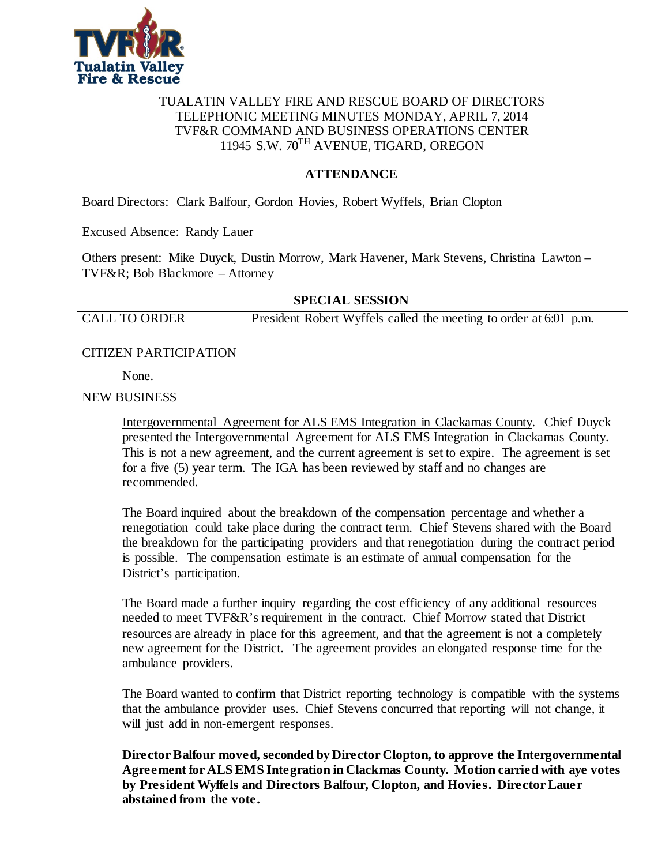

## TUALATIN VALLEY FIRE AND RESCUE BOARD OF DIRECTORS TELEPHONIC MEETING MINUTES MONDAY, APRIL 7, 2014 TVF&R COMMAND AND BUSINESS OPERATIONS CENTER 11945 S.W. 70TH AVENUE, TIGARD, OREGON

# **ATTENDANCE**

Board Directors: Clark Balfour, Gordon Hovies, Robert Wyffels, Brian Clopton

Excused Absence: Randy Lauer

Others present: Mike Duyck, Dustin Morrow, Mark Havener, Mark Stevens, Christina Lawton – TVF&R; Bob Blackmore – Attorney

## **SPECIAL SESSION**

CALL TO ORDER President Robert Wyffels called the meeting to order at 6:01 p.m.

## CITIZEN PARTICIPATION

None.

### NEW BUSINESS

Intergovernmental Agreement for ALS EMS Integration in Clackamas County. Chief Duyck presented the Intergovernmental Agreement for ALS EMS Integration in Clackamas County. This is not a new agreement, and the current agreement is set to expire. The agreement is set for a five (5) year term. The IGA has been reviewed by staff and no changes are recommended.

The Board inquired about the breakdown of the compensation percentage and whether a renegotiation could take place during the contract term. Chief Stevens shared with the Board the breakdown for the participating providers and that renegotiation during the contract period is possible. The compensation estimate is an estimate of annual compensation for the District's participation.

The Board made a further inquiry regarding the cost efficiency of any additional resources needed to meet TVF&R's requirement in the contract. Chief Morrow stated that District resources are already in place for this agreement, and that the agreement is not a completely new agreement for the District. The agreement provides an elongated response time for the ambulance providers.

The Board wanted to confirm that District reporting technology is compatible with the systems that the ambulance provider uses. Chief Stevens concurred that reporting will not change, it will just add in non-emergent responses.

**Director Balfour moved, seconded by Director Clopton, to approve the Intergovernmental Agreement for ALS EMS Integration in Clackmas County. Motion carried with aye votes by President Wyffels and Directors Balfour, Clopton, and Hovies. Director Lauer abstained from the vote.**